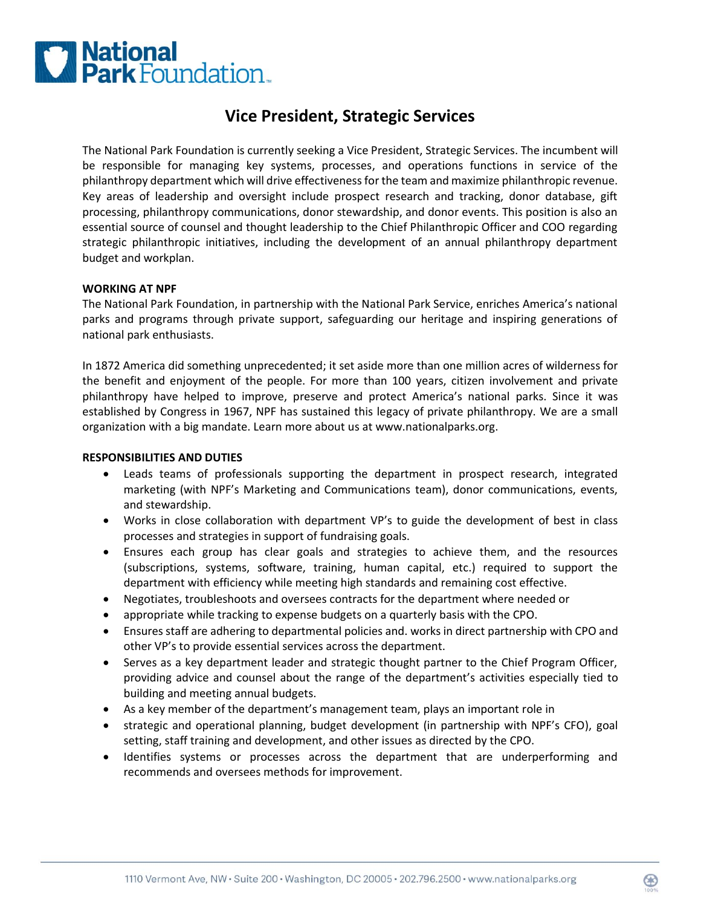# **C National**<br>**C Park** Foundation.

# **Vice President, Strategic Services**

The National Park Foundation is currently seeking a Vice President, Strategic Services. The incumbent will be responsible for managing key systems, processes, and operations functions in service of the philanthropy department which will drive effectivenessfor the team and maximize philanthropic revenue. Key areas of leadership and oversight include prospect research and tracking, donor database, gift processing, philanthropy communications, donor stewardship, and donor events. This position is also an essential source of counsel and thought leadership to the Chief Philanthropic Officer and COO regarding strategic philanthropic initiatives, including the development of an annual philanthropy department budget and workplan.

#### **WORKING AT NPF**

The National Park Foundation, in partnership with the National Park Service, enriches America's national parks and programs through private support, safeguarding our heritage and inspiring generations of national park enthusiasts.

In 1872 America did something unprecedented; it set aside more than one million acres of wilderness for the benefit and enjoyment of the people. For more than 100 years, citizen involvement and private philanthropy have helped to improve, preserve and protect America's national parks. Since it was established by Congress in 1967, NPF has sustained this legacy of private philanthropy. We are a small organization with a big mandate. Learn more about us at www.nationalparks.org.

#### **RESPONSIBILITIES AND DUTIES**

- Leads teams of professionals supporting the department in prospect research, integrated marketing (with NPF's Marketing and Communications team), donor communications, events, and stewardship.
- Works in close collaboration with department VP's to guide the development of best in class processes and strategies in support of fundraising goals.
- Ensures each group has clear goals and strategies to achieve them, and the resources (subscriptions, systems, software, training, human capital, etc.) required to support the department with efficiency while meeting high standards and remaining cost effective.
- Negotiates, troubleshoots and oversees contracts for the department where needed or
- appropriate while tracking to expense budgets on a quarterly basis with the CPO.
- Ensures staff are adhering to departmental policies and. works in direct partnership with CPO and other VP's to provide essential services across the department.
- Serves as a key department leader and strategic thought partner to the Chief Program Officer, providing advice and counsel about the range of the department's activities especially tied to building and meeting annual budgets.
- As a key member of the department's management team, plays an important role in
- strategic and operational planning, budget development (in partnership with NPF's CFO), goal setting, staff training and development, and other issues as directed by the CPO.
- Identifies systems or processes across the department that are underperforming and recommends and oversees methods for improvement.